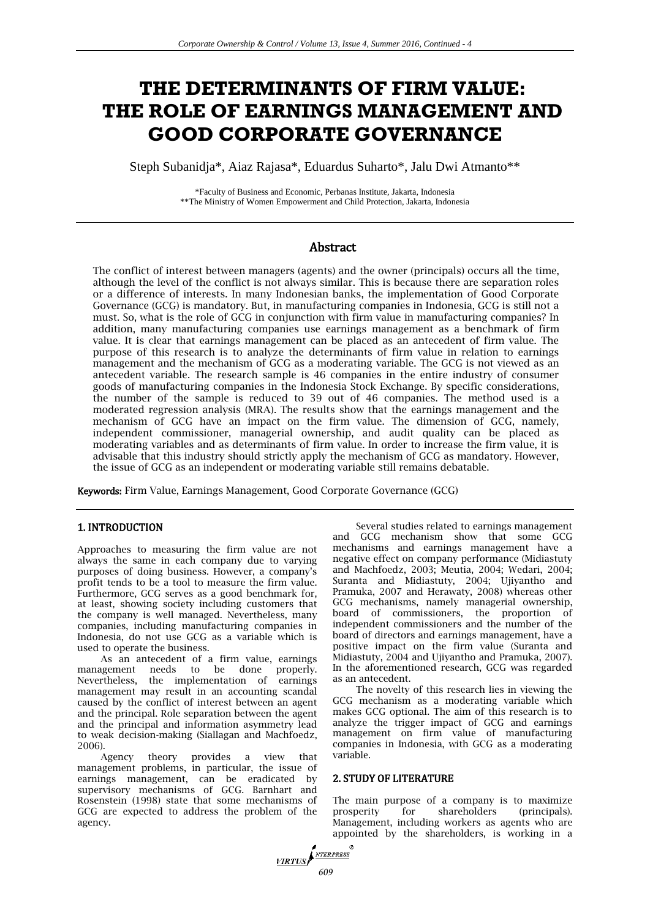# **THE DETERMINANTS OF FIRM VALUE: THE ROLE OF EARNINGS MANAGEMENT AND GOOD CORPORATE GOVERNANCE**

Steph Subanidja\*, Aiaz Rajasa\*, Eduardus Suharto\*, Jalu Dwi Atmanto\*\*

\*Faculty of Business and Economic, Perbanas Institute, Jakarta, Indonesia \*\*The Ministry of Women Empowerment and Child Protection, Jakarta, Indonesia

# Abstract

The conflict of interest between managers (agents) and the owner (principals) occurs all the time, although the level of the conflict is not always similar. This is because there are separation roles or a difference of interests. In many Indonesian banks, the implementation of Good Corporate Governance (GCG) is mandatory. But, in manufacturing companies in Indonesia, GCG is still not a must. So, what is the role of GCG in conjunction with firm value in manufacturing companies? In addition, many manufacturing companies use earnings management as a benchmark of firm value. It is clear that earnings management can be placed as an antecedent of firm value. The purpose of this research is to analyze the determinants of firm value in relation to earnings management and the mechanism of GCG as a moderating variable. The GCG is not viewed as an antecedent variable. The research sample is 46 companies in the entire industry of consumer goods of manufacturing companies in the Indonesia Stock Exchange. By specific considerations, the number of the sample is reduced to 39 out of 46 companies. The method used is a moderated regression analysis (MRA). The results show that the earnings management and the mechanism of GCG have an impact on the firm value. The dimension of GCG, namely, independent commissioner, managerial ownership, and audit quality can be placed as moderating variables and as determinants of firm value. In order to increase the firm value, it is advisable that this industry should strictly apply the mechanism of GCG as mandatory. However, the issue of GCG as an independent or moderating variable still remains debatable.

Keywords: Firm Value, Earnings Management, Good Corporate Governance (GCG)

# 1. INTRODUCTION

Approaches to measuring the firm value are not always the same in each company due to varying purposes of doing business. However, a company's profit tends to be a tool to measure the firm value. Furthermore, GCG serves as a good benchmark for, at least, showing society including customers that the company is well managed. Nevertheless, many companies, including manufacturing companies in Indonesia, do not use GCG as a variable which is used to operate the business.

As an antecedent of a firm value, earnings management needs to be done properly. Nevertheless, the implementation of earnings management may result in an accounting scandal caused by the conflict of interest between an agent and the principal. Role separation between the agent and the principal and information asymmetry lead to weak decision-making (Siallagan and Machfoedz, 2006).

Agency theory provides a view that management problems, in particular, the issue of earnings management, can be eradicated by supervisory mechanisms of GCG. Barnhart and Rosenstein (1998) state that some mechanisms of GCG are expected to address the problem of the agency.

Several studies related to earnings management and GCG mechanism show that some GCG mechanisms and earnings management have a negative effect on company performance (Midiastuty and Machfoedz, 2003; Meutia, 2004; Wedari, 2004; Suranta and Midiastuty, 2004; Ujiyantho and Pramuka, 2007 and Herawaty, 2008) whereas other GCG mechanisms, namely managerial ownership, board of commissioners, the proportion of independent commissioners and the number of the board of directors and earnings management, have a positive impact on the firm value (Suranta and Midiastuty, 2004 and Ujiyantho and Pramuka, 2007). In the aforementioned research, GCG was regarded as an antecedent.

The novelty of this research lies in viewing the GCG mechanism as a moderating variable which makes GCG optional. The aim of this research is to analyze the trigger impact of GCG and earnings management on firm value of manufacturing companies in Indonesia, with GCG as a moderating variable.

#### 2. STUDY OF LITERATURE

The main purpose of a company is to maximize prosperity for shareholders (principals). Management, including workers as agents who are appointed by the shareholders, is working in a

**VIRTUS**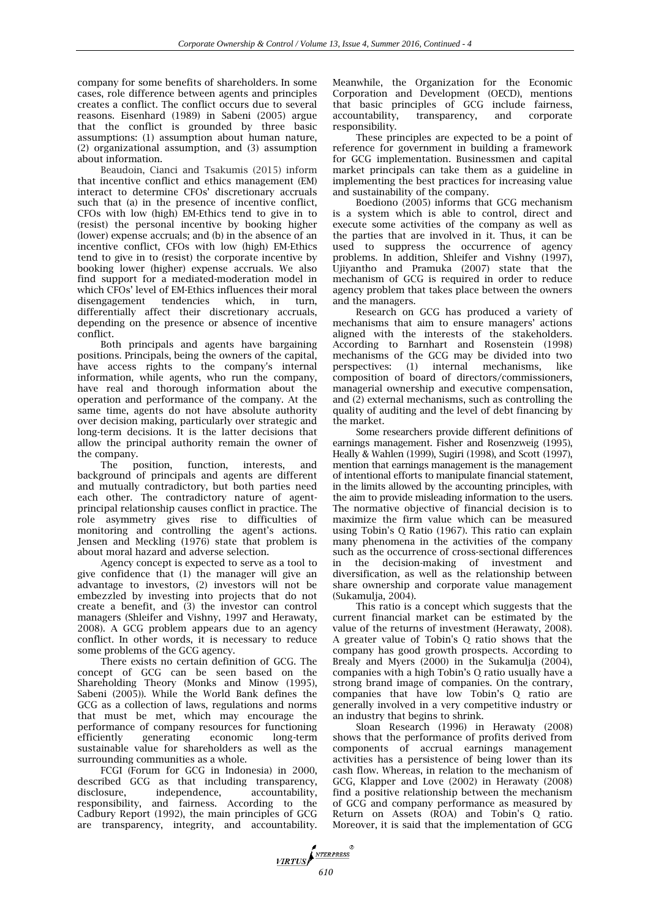company for some benefits of shareholders. In some cases, role difference between agents and principles creates a conflict. The conflict occurs due to several reasons. Eisenhard (1989) in Sabeni (2005) argue that the conflict is grounded by three basic assumptions: (1) assumption about human nature, (2) organizational assumption, and (3) assumption about information.

Beaudoin, Cianci and Tsakumis (2015) inform that incentive conflict and ethics management (EM) interact to determine CFOs' discretionary accruals such that (a) in the presence of incentive conflict, CFOs with low (high) EM-Ethics tend to give in to (resist) the personal incentive by booking higher (lower) expense accruals; and (b) in the absence of an incentive conflict, CFOs with low (high) EM-Ethics tend to give in to (resist) the corporate incentive by booking lower (higher) expense accruals. We also find support for a mediated-moderation model in which CFOs' level of EM-Ethics influences their moral<br>disengagement tendencies which, in turn, disengagement tendencies which, in turn, differentially affect their discretionary accruals, depending on the presence or absence of incentive conflict.

Both principals and agents have bargaining positions. Principals, being the owners of the capital, have access rights to the company's internal information, while agents, who run the company, have real and thorough information about the operation and performance of the company. At the same time, agents do not have absolute authority over decision making, particularly over strategic and long-term decisions. It is the latter decisions that allow the principal authority remain the owner of the company.

The position, function, interests, and background of principals and agents are different and mutually contradictory, but both parties need each other. The contradictory nature of agentprincipal relationship causes conflict in practice. The role asymmetry gives rise to difficulties of monitoring and controlling the agent's actions. Jensen and Meckling (1976) state that problem is about moral hazard and adverse selection.

Agency concept is expected to serve as a tool to give confidence that (1) the manager will give an advantage to investors, (2) investors will not be embezzled by investing into projects that do not create a benefit, and (3) the investor can control managers (Shleifer and Vishny, 1997 and Herawaty, 2008). A GCG problem appears due to an agency conflict. In other words, it is necessary to reduce some problems of the GCG agency.

There exists no certain definition of GCG. The concept of GCG can be seen based on the Shareholding Theory (Monks and Minow (1995), Sabeni (2005)). While the World Bank defines the GCG as a collection of laws, regulations and norms that must be met, which may encourage the performance of company resources for functioning efficiently generating economic long-term sustainable value for shareholders as well as the surrounding communities as a whole.

FCGI (Forum for GCG in Indonesia) in 2000, described GCG as that including transparency, disclosure, independence, accountability, responsibility, and fairness. According to the Cadbury Report (1992), the main principles of GCG are transparency, integrity, and accountability.

Meanwhile, the Organization for the Economic Corporation and Development (OECD), mentions that basic principles of GCG include fairness, accountability, transparency, and corporate responsibility.

These principles are expected to be a point of reference for government in building a framework for GCG implementation*.* Businessmen and capital market principals can take them as a guideline in implementing the best practices for increasing value and sustainability of the company.

Boediono (2005) informs that GCG mechanism is a system which is able to control, direct and execute some activities of the company as well as the parties that are involved in it. Thus, it can be used to suppress the occurrence of agency problems. In addition, Shleifer and Vishny (1997), Ujiyantho and Pramuka (2007) state that the mechanism of GCG is required in order to reduce agency problem that takes place between the owners and the managers.

Research on GCG has produced a variety of mechanisms that aim to ensure managers' actions aligned with the interests of the stakeholders. According to Barnhart and Rosenstein (1998) mechanisms of the GCG may be divided into two perspectives: (1) internal mechanisms, like composition of board of directors/commissioners, managerial ownership and executive compensation, and (2) external mechanisms, such as controlling the quality of auditing and the level of debt financing by the market.

Some researchers provide different definitions of earnings management. Fisher and Rosenzweig (1995), Heally & Wahlen (1999), Sugiri (1998), and Scott (1997), mention that earnings management is the management of intentional efforts to manipulate financial statement, in the limits allowed by the accounting principles, with the aim to provide misleading information to the users. The normative objective of financial decision is to maximize the firm value which can be measured using Tobin's Q Ratio (1967). This ratio can explain many phenomena in the activities of the company such as the occurrence of cross-sectional differences in the decision-making of investment and diversification, as well as the relationship between share ownership and corporate value management (Sukamulja, 2004).

This ratio is a concept which suggests that the current financial market can be estimated by the value of the returns of investment (Herawaty, 2008). A greater value of Tobin's Q ratio shows that the company has good growth prospects. According to Brealy and Myers (2000) in the Sukamulja (2004), companies with a high Tobin's Q ratio usually have a strong brand image of companies. On the contrary, companies that have low Tobin's Q ratio are generally involved in a very competitive industry or an industry that begins to shrink.

Sloan Research (1996) in Herawaty (2008) shows that the performance of profits derived from components of accrual earnings management activities has a persistence of being lower than its cash flow. Whereas, in relation to the mechanism of GCG, Klapper and Love (2002) in Herawaty (2008) find a positive relationship between the mechanism of GCG and company performance as measured by Return on Assets (ROA) and Tobin's Q ratio. Moreover, it is said that the implementation of GCG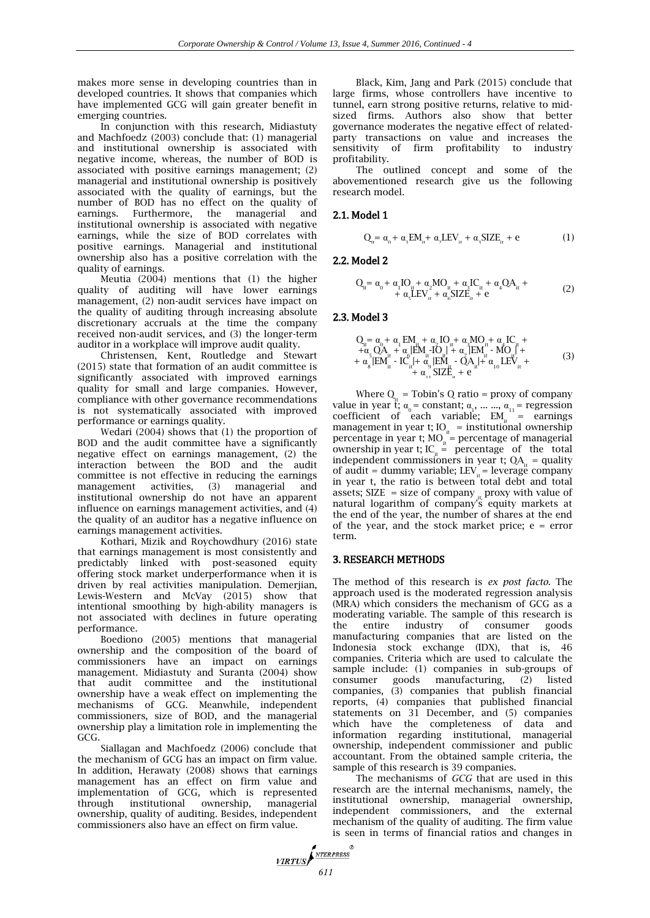makes more sense in developing countries than in developed countries. It shows that companies which have implemented GCG will gain greater benefit in emerging countries.

In conjunction with this research, Midiastuty and Machfoedz (2003) conclude that: (1) managerial and institutional ownership is associated with negative income, whereas, the number of BOD is associated with positive earnings management; (2) managerial and institutional ownership is positively associated with the quality of earnings, but the number of BOD has no effect on the quality of earnings. Furthermore, the managerial and institutional ownership is associated with negative earnings, while the size of BOD correlates with positive earnings. Managerial and institutional ownership also has a positive correlation with the quality of earnings.

Meutia (2004) mentions that (1) the higher quality of auditing will have lower earnings management, (2) non-audit services have impact on the quality of auditing through increasing absolute discretionary accruals at the time the company received non-audit services, and (3) the longer-term auditor in a workplace will improve audit quality.

Christensen, Kent, Routledge and Stewart (2015) state that formation of an audit committee is significantly associated with improved earnings quality for small and large companies. However, compliance with other governance recommendations is not systematically associated with improved performance or earnings quality.

Wedari (2004) shows that (1) the proportion of BOD and the audit committee have a significantly negative effect on earnings management, (2) the interaction between the BOD and the audit committee is not effective in reducing the earnings management activities, (3) managerial and institutional ownership do not have an apparent influence on earnings management activities, and (4) the quality of an auditor has a negative influence on earnings management activities.

Kothari, Mizik and Roychowdhury (2016) state that earnings management is most consistently and predictably linked with post-seasoned equity offering stock market underperformance when it is driven by real activities manipulation. Demerjian, Lewis-Western and McVay (2015) show that intentional smoothing by high-ability managers is not associated with declines in future operating performance.

Boediono (2005) mentions that managerial ownership and the composition of the board of commissioners have an impact on earnings management. Midiastuty and Suranta (2004) show that audit committee and the institutional ownership have a weak effect on implementing the mechanisms of GCG. Meanwhile, independent commissioners, size of BOD, and the managerial ownership play a limitation role in implementing the GCG.

Siallagan and Machfoedz (2006) conclude that the mechanism of GCG has an impact on firm value. In addition, Herawaty (2008) shows that earnings management has an effect on firm value and implementation of GCG*,* which is represented through institutional ownership, managerial ownership, quality of auditing. Besides, independent commissioners also have an effect on firm value.

Black, Kim, Jang and Park (2015) conclude that large firms, whose controllers have incentive to tunnel, earn strong positive returns, relative to midsized firms. Authors also show that better governance moderates the negative effect of relatedparty transactions on value and increases the sensitivity of firm profitability to industry profitability.

The outlined concept and some of the abovementioned research give us the following research model.

### 2.1. Model 1

$$
Q_{_{ir}} = \alpha_{_{i}} + \alpha_{_{i}} EM_{_{ir}} + \alpha_{_{2}} LEV_{_{ir}} + \alpha_{_{2}} SIZE_{_{ir}} + e
$$
 (1)

#### 2.2. Model 2

$$
Q_{it} = \alpha_0 + \alpha_1 I O_{it} + \alpha_2 M O_{it} + \alpha_3 I C_{it} + \alpha_4 Q A_{it} + + \alpha_c L E V_{it} + \alpha_c S I Z E_{it} + e
$$
 (2)

#### 2.3. Model 3

$$
Q_{ii} = \alpha_0 + \alpha_1 E M_{ii} + \alpha_2 I O_{ii} + \alpha_3 M O_{ii} + \alpha_4 I C_{ii} ++ \alpha_5 Q A_{ii} + \alpha_6 |E M_{ii} - I O_{ii}| + \alpha_7 |E M_{ii} - M O_{ii}|+ \alpha_8 |E M_{ii} - I C_{ii}| + \alpha_9 |E M_{ii} - Q A_{ii}| + \alpha_{10} L E V_{ii} ++ \alpha_{11} S I Z E_{ii} + e
$$
 (3)

Where  $Q_{it}$  = Tobin's Q ratio = proxy of company value in year t;  $\alpha_0$  = constant;  $\alpha_1$ , ... ...,  $\alpha_{11}$  = regression coefficient of each variable;  $EM_{it}$  = earnings management in year t;  $IO_{it} =$  institutional ownership percentage in year t;  $MO_{it}$  = percentage of managerial ownership in year t;  $IC_{it}$  = percentage of the total independent commissioners in year t;  $QA_{it} =$  quality of audit = dummy variable;  $LEV_{it}$  = leverage company in year t, the ratio is between total debt and total assets;  $SLE = size of company$ <sub>it,</sub> proxy with value of natural logarithm of company's equity markets at the end of the year, the number of shares at the end of the year, and the stock market price;  $e = error$ term.

#### 3. RESEARCH METHODS

The method of this research is *ex post facto.* The approach used is the moderated regression analysis (MRA) which considers the mechanism of GCG as a moderating variable. The sample of this research is the entire industry of consumer goods manufacturing companies that are listed on the Indonesia stock exchange (IDX), that is, 46 companies. Criteria which are used to calculate the sample include: (1) companies in sub-groups of consumer goods manufacturing, (2) listed companies, (3) companies that publish financial reports, (4) companies that published financial statements on 31 December, and (5) companies which have the completeness of data and information regarding institutional, managerial ownership, independent commissioner and public accountant. From the obtained sample criteria, the sample of this research is 39 companies.

The mechanisms of *GCG* that are used in this research are the internal mechanisms, namely, the institutional ownership, managerial ownership, independent commissioners, and the external mechanism of the quality of auditing. The firm value is seen in terms of financial ratios and changes in

**FIRTUS**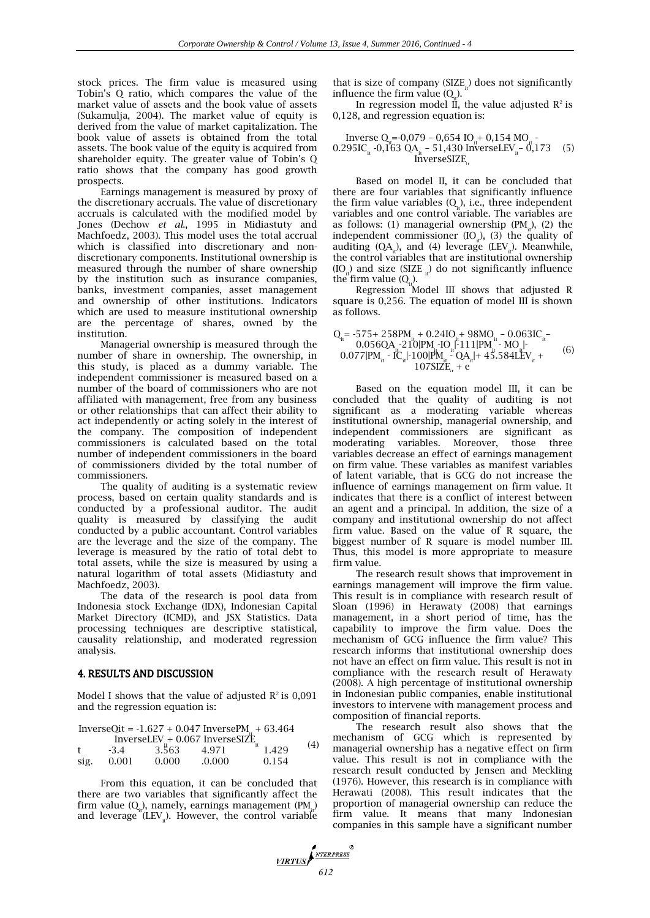stock prices. The firm value is measured using Tobin's Q ratio, which compares the value of the market value of assets and the book value of assets (Sukamulja, 2004). The market value of equity is derived from the value of market capitalization. The book value of assets is obtained from the total assets. The book value of the equity is acquired from shareholder equity. The greater value of Tobin's Q ratio shows that the company has good growth prospects.

Earnings management is measured by proxy of the discretionary accruals. The value of discretionary accruals is calculated with the modified model by Jones (Dechow *et al*., 1995 in Midiastuty and Machfoedz, 2003). This model uses the total accrual which is classified into discretionary and nondiscretionary components. Institutional ownership is measured through the number of share ownership by the institution such as insurance companies, banks, investment companies, asset management and ownership of other institutions. Indicators which are used to measure institutional ownership are the percentage of shares, owned by the institution.

Managerial ownership is measured through the number of share in ownership. The ownership, in this study, is placed as a dummy variable. The independent commissioner is measured based on a number of the board of commissioners who are not affiliated with management, free from any business or other relationships that can affect their ability to act independently or acting solely in the interest of the company. The composition of independent commissioners is calculated based on the total number of independent commissioners in the board of commissioners divided by the total number of commissioners.

The quality of auditing is a systematic review process, based on certain quality standards and is conducted by a professional auditor. The audit quality is measured by classifying the audit conducted by a public accountant. Control variables are the leverage and the size of the company. The leverage is measured by the ratio of total debt to total assets, while the size is measured by using a natural logarithm of total assets (Midiastuty and Machfoedz, 2003).

The data of the research is pool data from Indonesia stock Exchange (IDX), Indonesian Capital Market Directory (ICMD), and JSX Statistics. Data processing techniques are descriptive statistical, causality relationship, and moderated regression analysis.

#### 4. RESULTS AND DISCUSSION

Model I shows that the value of adjusted  $\mathbb{R}^2$  is 0,091 and the regression equation is:

|                                                           |           |       | InverseQit = $-1.627 + 0.047$ InversePM <sub>a</sub> + 63.464 |       |     |
|-----------------------------------------------------------|-----------|-------|---------------------------------------------------------------|-------|-----|
| InverseLEV <sub>i</sub> + 0.067 InverseSIZE <sub>it</sub> |           |       |                                                               |       | (4) |
| $\ddagger$                                                | $-3.4$    | 3.563 | 4.971                                                         | 1.429 |     |
| sig.                                                      | $0.001\,$ | 0.000 | .0.000                                                        | 0.154 |     |

From this equation, it can be concluded that there are two variables that significantly affect the firm value  $(Q_{n})$ , namely, earnings management  $(PM_{n})$ and leverage (LEV $_{\rm it}$ ). However, the control variable that is size of company  $(SIZE_{it})$  does not significantly influence the firm value  $(Q_i)$ .

In regression model  $\overline{II}$ , the value adjusted  $R^2$  is 0,128, and regression equation is:

Inverse Qit =-0,079 – 0,654 IOit + 0,154 MOit - 0.295ICit -0,163 QAit – 51,430 InverseLEVit – 0,173 InverseSIZEit (5)

Based on model II, it can be concluded that there are four variables that significantly influence the firm value variables  $(Q_{\mu})$ , i.e., three independent variables and one control variable. The variables are as follows: (1) managerial ownership  $(PM_{i}^{1})$ , (2) the independent commissioner  $(IO_{i})$ ,  $(3)$  the quality of auditing  $(QA_{i_t})$ , and (4) leverage (LEV<sub>it</sub>). Meanwhile, the control variables that are institutional ownership  $(IO_{ii})$  and size  $(SIZE_{ii})$  do not significantly influence the firm value  $(Q_{i}^{\dagger})$ .

Regression Model III shows that adjusted R square is 0,256. The equation of model III is shown as follows.

$$
Q_{it} = -575 + 258PM_{it} + 0.241O_{it} + 98MO_{it} - 0.0631C_{it} - 0.056QA_{it} - 210|PM_{it} - 1O_{it}|^2 - 111|PM_{it}^{it} - MO_{it}|^2 - 0.077|PM_{it} - IC_{it}|^2 - 100|PM_{it} - QA_{it}|^2 + 45.584LEV_{it} + 10781ZE_{it} + e^{i\theta}
$$
 (6)

Based on the equation model III, it can be concluded that the quality of auditing is not significant as a moderating variable whereas institutional ownership, managerial ownership, and independent commissioners are significant as moderating variables. Moreover, those three variables decrease an effect of earnings management on firm value. These variables as manifest variables of latent variable, that is GCG do not increase the influence of earnings management on firm value. It indicates that there is a conflict of interest between an agent and a principal. In addition, the size of a company and institutional ownership do not affect firm value. Based on the value of R square, the biggest number of R square is model number III. Thus, this model is more appropriate to measure firm value.

The research result shows that improvement in earnings management will improve the firm value. This result is in compliance with research result of Sloan (1996) in Herawaty (2008) that earnings management, in a short period of time, has the capability to improve the firm value. Does the mechanism of GCG influence the firm value? This research informs that institutional ownership does not have an effect on firm value. This result is not in compliance with the research result of Herawaty (2008). A high percentage of institutional ownership in Indonesian public companies, enable institutional investors to intervene with management process and composition of financial reports.

The research result also shows that the mechanism of GCG which is represented by managerial ownership has a negative effect on firm value. This result is not in compliance with the research result conducted by Jensen and Meckling (1976). However, this research is in compliance with Herawati (2008). This result indicates that the proportion of managerial ownership can reduce the firm value. It means that many Indonesian companies in this sample have a significant number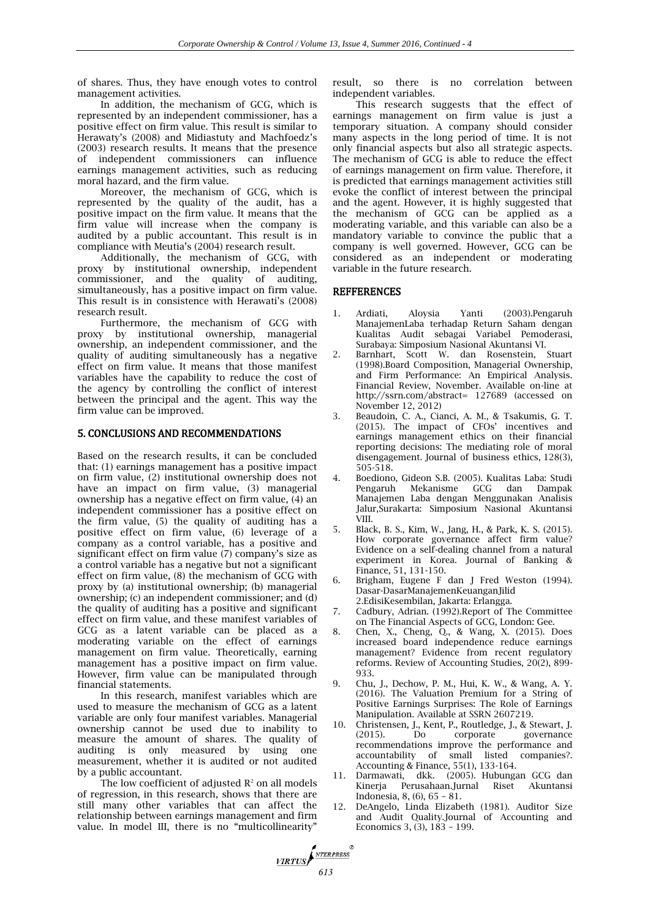of shares. Thus, they have enough votes to control management activities.

In addition, the mechanism of GCG, which is represented by an independent commissioner, has a positive effect on firm value. This result is similar to Herawaty's (2008) and Midiastuty and Machfoedz's (2003) research results. It means that the presence of independent commissioners can influence earnings management activities, such as reducing moral hazard, and the firm value.

Moreover, the mechanism of GCG, which is represented by the quality of the audit, has a positive impact on the firm value. It means that the firm value will increase when the company is audited by a public accountant. This result is in compliance with Meutia's (2004) research result.

Additionally, the mechanism of GCG, with proxy by institutional ownership, independent commissioner, and the quality of auditing, simultaneously, has a positive impact on firm value. This result is in consistence with Herawati's (2008) research result.

Furthermore, the mechanism of GCG with proxy by institutional ownership, managerial ownership, an independent commissioner, and the quality of auditing simultaneously has a negative effect on firm value. It means that those manifest variables have the capability to reduce the cost of the agency by controlling the conflict of interest between the principal and the agent. This way the firm value can be improved.

#### 5. CONCLUSIONS AND RECOMMENDATIONS

Based on the research results, it can be concluded that: (1) earnings management has a positive impact on firm value, (2) institutional ownership does not have an impact on firm value, (3) managerial ownership has a negative effect on firm value, (4) an independent commissioner has a positive effect on the firm value, (5) the quality of auditing has a positive effect on firm value, (6) leverage of a company as a control variable, has a positive and significant effect on firm value (7) company's size as a control variable has a negative but not a significant effect on firm value, (8) the mechanism of GCG with proxy by (a) institutional ownership; (b) managerial ownership; (c) an independent commissioner; and (d) the quality of auditing has a positive and significant effect on firm value, and these manifest variables of GCG as a latent variable can be placed as a moderating variable on the effect of earnings management on firm value. Theoretically, earning management has a positive impact on firm value. However, firm value can be manipulated through financial statements.

In this research, manifest variables which are used to measure the mechanism of GCG as a latent variable are only four manifest variables. Managerial ownership cannot be used due to inability to measure the amount of shares. The quality of auditing is only measured by using one measurement, whether it is audited or not audited by a public accountant.

The low coefficient of adjusted  $\mathbb{R}^2$  on all models of regression, in this research, shows that there are still many other variables that can affect the relationship between earnings management and firm value. In model III, there is no "multicollinearity"

result, so there is no correlation between independent variables.

This research suggests that the effect of earnings management on firm value is just a temporary situation. A company should consider many aspects in the long period of time. It is not only financial aspects but also all strategic aspects. The mechanism of GCG is able to reduce the effect of earnings management on firm value. Therefore, it is predicted that earnings management activities still evoke the conflict of interest between the principal and the agent. However, it is highly suggested that the mechanism of GCG can be applied as a moderating variable, and this variable can also be a mandatory variable to convince the public that a company is well governed. However, GCG can be considered as an independent or moderating variable in the future research.

## **REFFERENCES**

- 1. Ardiati, Aloysia Yanti (2003).Pengaruh ManajemenLaba terhadap Return Saham dengan Kualitas Audit sebagai Variabel Pemoderasi, Surabaya: Simposium Nasional Akuntansi VI.
- 2. Barnhart, Scott W. dan Rosenstein, Stuart (1998).Board Composition, Managerial Ownership, and Firm Performance: An Empirical Analysis. Financial Review, November. Available on-line at http://ssrn.com/abstract= 127689 (accessed on November 12, 2012)
- 3. Beaudoin, C. A., Cianci, A. M., & Tsakumis, G. T. (2015). The impact of CFOs' incentives and earnings management ethics on their financial reporting decisions: The mediating role of moral disengagement. Journal of business ethics, 128(3), 505-518.
- 4. Boediono, Gideon S.B. (2005). Kualitas Laba: Studi Pengaruh Mekanisme GCG dan Dampak Manajemen Laba dengan Menggunakan Analisis Jalur,Surakarta: Simposium Nasional Akuntansi VIII.
- 5. Black, B. S., Kim, W., Jang, H., & Park, K. S. (2015). How corporate governance affect firm value? Evidence on a self-dealing channel from a natural experiment in Korea. Journal of Banking & Finance, 51, 131-150.
- 6. Brigham, Eugene F dan J Fred Weston (1994). Dasar-DasarManajemenKeuanganJilid 2.EdisiKesembilan, Jakarta: Erlangga.
- 7. Cadbury, Adrian. (1992).Report of The Committee on The Financial Aspects of GCG, London: Gee.
- 8. Chen, X., Cheng, Q., & Wang, X. (2015). Does increased board independence reduce earnings management? Evidence from recent regulatory reforms. Review of Accounting Studies, 20(2), 899- 933.
- 9. Chu, J., Dechow, P. M., Hui, K. W., & Wang, A. Y. (2016). The Valuation Premium for a String of Positive Earnings Surprises: The Role of Earnings Manipulation. Available at SSRN 2607219.
- 10. Christensen, J., Kent, P., Routledge, J., & Stewart, J. (2015). Do corporate governance recommendations improve the performance and accountability of small listed companies?. Accounting & Finance, 55(1), 133-164.
- 11. Darmawati, dkk. (2005). Hubungan GCG dan Kinerja Perusahaan.Jurnal Riset Akuntansi Indonesia, 8, (6), 65 – 81.
- 12. DeAngelo, Linda Elizabeth (1981). Auditor Size and Audit Quality.Journal of Accounting and Economics 3, (3), 183 – 199.

**VIRTUS**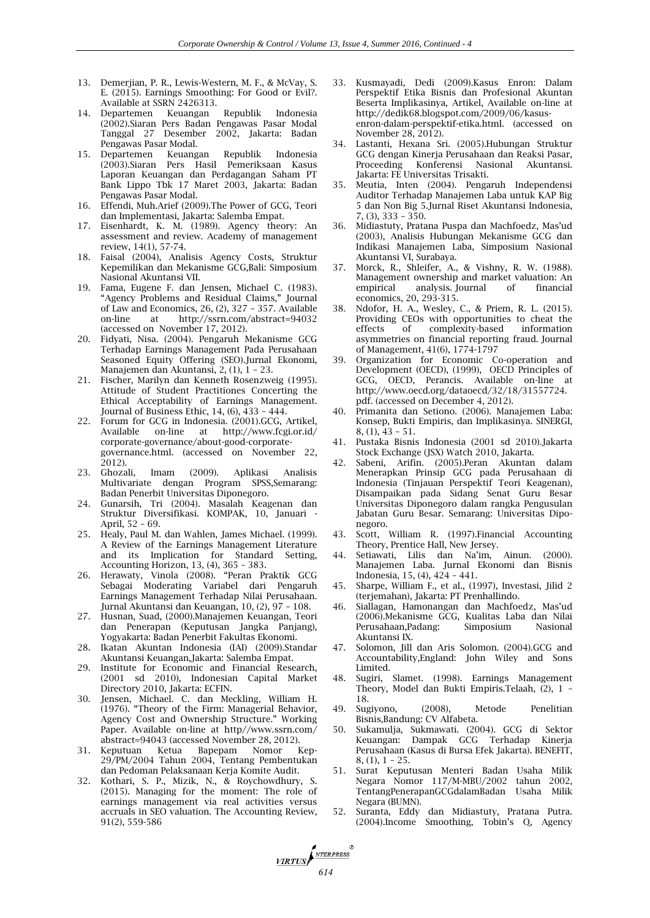- 13. Demerjian, P. R., Lewis-Western, M. F., & McVay, S. E. (2015). Earnings Smoothing: For Good or Evil?. Available at SSRN 2426313.
- 14. Departemen Keuangan Republik Indonesia (2002).Siaran Pers Badan Pengawas Pasar Modal Tanggal 27 Desember 2002, Jakarta: Badan Pengawas Pasar Modal.<br>15. Departemen Keuangan
- 15. Departemen Keuangan Republik Indonesia (2003).Siaran Pers Hasil Pemeriksaan Kasus Laporan Keuangan dan Perdagangan Saham PT Bank Lippo Tbk 17 Maret 2003, Jakarta: Badan Pengawas Pasar Modal.
- 16. Effendi, Muh.Arief (2009).The Power of GCG, Teori dan Implementasi, Jakarta: Salemba Empat.
- 17. Eisenhardt, K. M. (1989). Agency theory: An assessment and review. Academy of management review, 14(1), 57-74.
- 18. Faisal (2004), Analisis Agency Costs, Struktur Kepemilikan dan Mekanisme GCG,Bali: Simposium Nasional Akuntansi VII.
- 19. Fama, Eugene F. dan Jensen, Michael C. (1983). "Agency Problems and Residual Claims," Journal of Law and Economics, 26, (2), 327 – 357. Available<br>on-line at http://ssrn.com/abstract=94032 at http://ssrn.com/abstract=94032 (accessed on November 17, 2012).
- 20. Fidyati, Nisa. (2004). Pengaruh Mekanisme GCG Terhadap Earnings Management Pada Perusahaan Seasoned Equity Offering (SEO).Jurnal Ekonomi, Manajemen dan Akuntansi, 2, (1), 1 – 23.
- 21. Fischer, Marilyn dan Kenneth Rosenzweig (1995). Attitude of Student Practitiones Concerting the Ethical Acceptability of Earnings Management. Journal of Business Ethic, 14, (6), 433 – 444.
- 22. Forum for GCG in Indonesia. (2001).GCG, Artikel,<br>Available on-line at http://www.fcgi.or.id/ on-line at http://www.fcgi.or.id/ corporate-governance/about-good-corporategovernance.html. (accessed on November 22, 2012).
- 23. Ghozali, Imam (2009). Aplikasi Analisis Multivariate dengan Program SPSS,Semarang: Badan Penerbit Universitas Diponegoro.
- 24. Gunarsih, Tri (2004). Masalah Keagenan dan Struktur Diversifikasi. KOMPAK, 10, Januari - April, 52 – 69.
- 25. Healy, Paul M. dan Wahlen, James Michael. (1999). A Review of the Earnings Management Literature and its Implication for Standard Setting, Accounting Horizon, 13, (4), 365 – 383.
- 26. Herawaty, Vinola (2008). "Peran Praktik GCG Sebagai Moderating Variabel dari Pengaruh Earnings Management Terhadap Nilai Perusahaan. Jurnal Akuntansi dan Keuangan, 10, (2), 97 – 108.
- 27. Husnan, Suad, (2000).Manajemen Keuangan, Teori dan Penerapan (Keputusan Jangka Panjang), Yogyakarta: Badan Penerbit Fakultas Ekonomi.
- 28. Ikatan Akuntan Indonesia (IAI) (2009).Standar Akuntansi Keuangan,Jakarta: Salemba Empat.
- 29. Institute for Economic and Financial Research, (2001 sd 2010), Indonesian Capital Market Directory 2010, Jakarta: ECFIN.
- 30. Jensen, Michael. C. dan Meckling, William H. (1976). "Theory of the Firm: Managerial Behavior, Agency Cost and Ownership Structure." Working Paper. Available on-line at http//www.ssrn.com/ abstract=94043 (accessed November 28, 2012).
- 31. Keputuan Ketua Bapepam Nomor Kep-29/PM/2004 Tahun 2004, Tentang Pembentukan dan Pedoman Pelaksanaan Kerja Komite Audit.
- 32. Kothari, S. P., Mizik, N., & Roychowdhury, S. (2015). Managing for the moment: The role of earnings management via real activities versus accruals in SEO valuation. The Accounting Review, 91(2), 559-586
- 33. Kusmayadi, Dedi (2009).Kasus Enron: Dalam Perspektif Etika Bisnis dan Profesional Akuntan Beserta Implikasinya, Artikel, Available on-line at [http://dedik6](http://dedik/)8.blogspot.com/2009/06/kasusenron-dalam-perspektif-etika.html. (accessed on November 28, 2012).
- 34. Lastanti, Hexana Sri. (2005).Hubungan Struktur GCG dengan Kinerja Perusahaan dan Reaksi Pasar, Konferensi Nasional Akuntansi. Jakarta: FE Universitas Trisakti.
- 35. Meutia, Inten (2004). Pengaruh Independensi Auditor Terhadap Manajemen Laba untuk KAP Big 5 dan Non Big 5.Jurnal Riset Akuntansi Indonesia, 7, (3), 333 – 350.
- 36. Midiastuty, Pratana Puspa dan Machfoedz, Mas'ud (2003), Analisis Hubungan Mekanisme GCG dan Indikasi Manajemen Laba, Simposium Nasional Akuntansi VI, Surabaya.
- 37. Morck, R., Shleifer, A., & Vishny, R. W. (1988). Management ownership and market valuation: An analysis. Journal economics, 20, 293-315.
- 38. Ndofor, H. A., Wesley, C., & Priem, R. L. (2015). Providing CEOs with opportunities to cheat the effects of complexity-based information asymmetries on financial reporting fraud. Journal of Management, 41(6), 1774-1797
- 39. Organization for Economic Co-operation and Development (OECD), (1999), OECD Principles of GCG, OECD, Perancis. Available on-line at http://www.oecd.org/dataoecd/32/18/31557724. pdf. (accessed on December 4, 2012).
- 40. Primanita dan Setiono. (2006). Manajemen Laba: Konsep, Bukti Empiris, dan Implikasinya. SINERGI, 8, (1), 43 – 51.
- 41. Pustaka Bisnis Indonesia (2001 sd 2010).Jakarta Stock Exchange (JSX) Watch 2010, Jakarta.
- 42. Sabeni, Arifin. (2005).Peran Akuntan dalam Menerapkan Prinsip GCG pada Perusahaan di Indonesia (Tinjauan Perspektif Teori Keagenan), Disampaikan pada Sidang Senat Guru Besar Universitas Diponegoro dalam rangka Pengusulan Jabatan Guru Besar. Semarang: Universitas Diponegoro.
- 43. Scott, William R. (1997).Financial Accounting Theory, Prentice Hall, New Jersey.
- 44. Setiawati, Lilis dan Na'im, Ainun. (2000). Manajemen Laba. Jurnal Ekonomi dan Bisnis Indonesia, 15, (4), 424 – 441.
- 45. Sharpe, William F., et al., (1997), Investasi, Jilid 2 (terjemahan), Jakarta: PT Prenhallindo.
- 46. Siallagan, Hamonangan dan Machfoedz, Mas'ud (2006).Mekanisme GCG, Kualitas Laba dan Nilai Perusahaan,Padang: Simposium Nasional Akuntansi IX.
- 47. Solomon, Jill dan Aris Solomon. (2004).GCG and Accountability,England: John Wiley and Sons Limited.
- 48. Sugiri, Slamet. (1998). Earnings Management Theory, Model dan Bukti Empiris.Telaah, (2), 1 – 18.
- 49. Sugiyono, (2008), Metode Penelitian Bisnis,Bandung: CV Alfabeta.
- 50. Sukamulja, Sukmawati. (2004). GCG di Sektor Keuangan: Dampak GCG Terhadap Kinerja Perusahaan (Kasus di Bursa Efek Jakarta). BENEFIT, 8, (1), 1 – 25.
- 51. Surat Keputusan Menteri Badan Usaha Milik Negara Nomor 117/M-MBU/2002 tahun 2002, TentangPenerapanGCGdalamBadan Usaha Milik Negara (BUMN).
- 52. Suranta, Eddy dan Midiastuty, Pratana Putra. (2004).Income Smoothing, Tobin's Q, Agency

**FIRTUS**